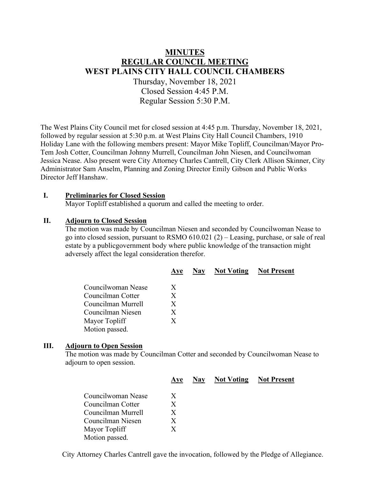# **MINUTES REGULAR COUNCIL MEETING WEST PLAINS CITY HALL COUNCIL CHAMBERS** Thursday, November 18, 2021 Closed Session 4:45 P.M. Regular Session 5:30 P.M.

The West Plains City Council met for closed session at 4:45 p.m. Thursday, November 18, 2021, followed by regular session at 5:30 p.m. at West Plains City Hall Council Chambers, 1910 Holiday Lane with the following members present: Mayor Mike Topliff, Councilman/Mayor Pro-Tem Josh Cotter, Councilman Johnny Murrell, Councilman John Niesen, and Councilwoman Jessica Nease. Also present were City Attorney Charles Cantrell, City Clerk Allison Skinner, City Administrator Sam Anselm, Planning and Zoning Director Emily Gibson and Public Works Director Jeff Hanshaw.

#### **I. Preliminaries for Closed Session**

Mayor Topliff established a quorum and called the meeting to order.

#### **II. Adjourn to Closed Session**

The motion was made by Councilman Niesen and seconded by Councilwoman Nease to go into closed session, pursuant to RSMO 610.021 (2) – Leasing, purchase, or sale of real estate by a publicgovernment body where public knowledge of the transaction might adversely affect the legal consideration therefor.

|                    | <b>Ave</b> | Nay Not Voting Not Present |  |
|--------------------|------------|----------------------------|--|
|                    |            |                            |  |
| Councilwoman Nease | X          |                            |  |
| Councilman Cotter  | X          |                            |  |
| Councilman Murrell | X          |                            |  |
| Councilman Niesen  | X          |                            |  |
| Mayor Topliff      | X          |                            |  |
| Motion passed.     |            |                            |  |

#### **III. Adjourn to Open Session**

Mayor Topliff Motion passed.

The motion was made by Councilman Cotter and seconded by Councilwoman Nease to adjourn to open session.

|                    | Ave | <b>Nav</b> | <b>Not Voting</b> | <b>Not Present</b> |
|--------------------|-----|------------|-------------------|--------------------|
| Councilwoman Nease | X   |            |                   |                    |
| Councilman Cotter  | X   |            |                   |                    |
| Councilman Murrell | X   |            |                   |                    |
| Councilman Niesen  | X   |            |                   |                    |
| Mayor Topliff      | X   |            |                   |                    |
| Motion passed.     |     |            |                   |                    |

City Attorney Charles Cantrell gave the invocation, followed by the Pledge of Allegiance.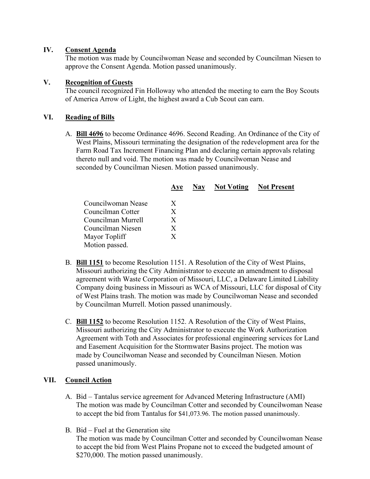## **IV. Consent Agenda**

The motion was made by Councilwoman Nease and seconded by Councilman Niesen to approve the Consent Agenda. Motion passed unanimously.

### **V. Recognition of Guests**

The council recognized Fin Holloway who attended the meeting to earn the Boy Scouts of America Arrow of Light, the highest award a Cub Scout can earn.

## **VI. Reading of Bills**

A. **Bill 4696** to become Ordinance 4696. Second Reading. An Ordinance of the City of West Plains, Missouri terminating the designation of the redevelopment area for the Farm Road Tax Increment Financing Plan and declaring certain approvals relating thereto null and void. The motion was made by Councilwoman Nease and seconded by Councilman Niesen. Motion passed unanimously.

|                    | Ave          | <b>Nav</b> | <b>Not Voting</b> | <b>Not Present</b> |
|--------------------|--------------|------------|-------------------|--------------------|
| Councilwoman Nease | $\mathbf{X}$ |            |                   |                    |
| Councilman Cotter  | X            |            |                   |                    |
| Councilman Murrell | X            |            |                   |                    |
| Councilman Niesen  | X            |            |                   |                    |
| Mayor Topliff      | X            |            |                   |                    |
| Motion passed.     |              |            |                   |                    |

- B. **Bill 1151** to become Resolution 1151. A Resolution of the City of West Plains, Missouri authorizing the City Administrator to execute an amendment to disposal agreement with Waste Corporation of Missouri, LLC, a Delaware Limited Liability Company doing business in Missouri as WCA of Missouri, LLC for disposal of City of West Plains trash. The motion was made by Councilwoman Nease and seconded by Councilman Murrell. Motion passed unanimously.
- C. **Bill 1152** to become Resolution 1152. A Resolution of the City of West Plains, Missouri authorizing the City Administrator to execute the Work Authorization Agreement with Toth and Associates for professional engineering services for Land and Easement Acquisition for the Stormwater Basins project. The motion was made by Councilwoman Nease and seconded by Councilman Niesen. Motion passed unanimously.

# **VII. Council Action**

- A. Bid Tantalus service agreement for Advanced Metering Infrastructure (AMI) The motion was made by Councilman Cotter and seconded by Councilwoman Nease to accept the bid from Tantalus for \$41,073.96. The motion passed unanimously.
- B. Bid Fuel at the Generation site The motion was made by Councilman Cotter and seconded by Councilwoman Nease to accept the bid from West Plains Propane not to exceed the budgeted amount of \$270,000. The motion passed unanimously.